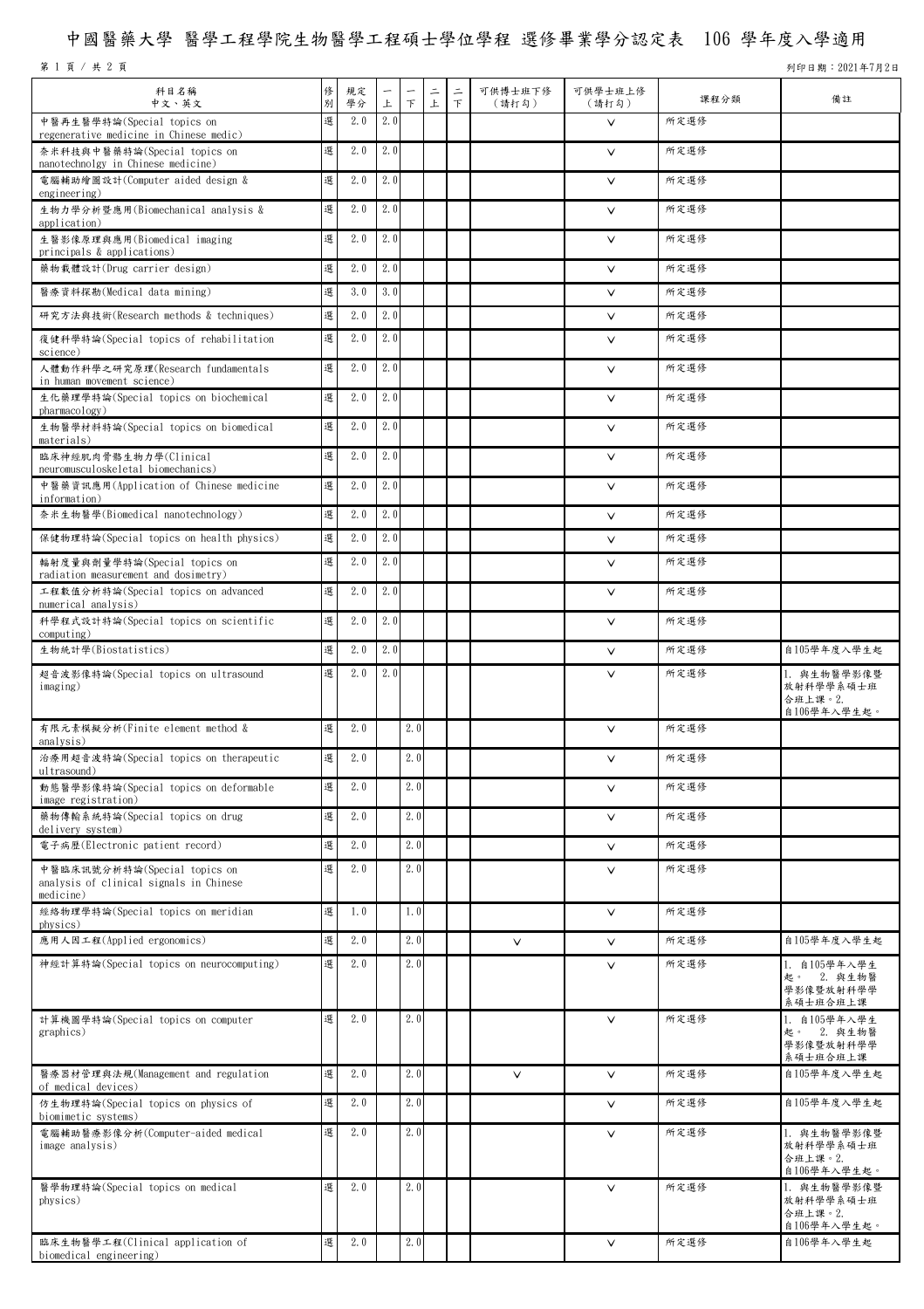## 中國醫藥大學 醫學工程學院生物醫學工程碩士學位學程 選修畢業學分認定表 106 學年度入學適用

第 1 頁 / 共 2 頁 2021年7月2日

| 科目名稱<br>中文、英文                                                                        | 俢<br>別 | 規定<br>學分 | 上   | F   | $\equiv$<br>上 | $\equiv$<br>F | 可供博士班下修<br>(請打勾) | 可供學士班上修<br>(請打勾) | 課程分類 | 備註                                                  |
|--------------------------------------------------------------------------------------|--------|----------|-----|-----|---------------|---------------|------------------|------------------|------|-----------------------------------------------------|
| 中醫再生醫學特論(Special topics on                                                           | 選      | 2.0      | 2.0 |     |               |               |                  | $\vee$           | 所定選修 |                                                     |
| regenerative medicine in Chinese medic)<br>奈米科技與中醫藥特論(Special topics on              | 選      | 2.0      | 2.0 |     |               |               |                  | $\checkmark$     | 所定選修 |                                                     |
| nanotechnolgy in Chinese medicine)<br>電腦輔助繪圖設計(Computer aided design &               | 選      | 2.0      | 2.0 |     |               |               |                  | V                | 所定選修 |                                                     |
| engineering)<br>生物力學分析暨應用(Biomechanical analysis &                                   | 選      | 2.0      | 2.0 |     |               |               |                  | $\checkmark$     | 所定選修 |                                                     |
| application)<br>生醫影像原理與應用(Biomedical imaging                                         | 選      | 2.0      | 2.0 |     |               |               |                  | $\checkmark$     | 所定選修 |                                                     |
| principals & applications)<br>藥物載體設計(Drug carrier design)                            | 選      | 2.0      | 2.0 |     |               |               |                  | $\checkmark$     | 所定選修 |                                                     |
| 醫療資料探勘(Medical data mining)                                                          | 選      | 3.0      | 3.0 |     |               |               |                  | $\checkmark$     | 所定選修 |                                                     |
| 研究方法與技術(Research methods & techniques)                                               | 選      | 2.0      | 2.0 |     |               |               |                  | $\checkmark$     | 所定選修 |                                                     |
| 復健科學特論(Special topics of rehabilitation<br>science)                                  | 選      | 2.0      | 2.0 |     |               |               |                  | V                | 所定選修 |                                                     |
| 人體動作科學之研究原理(Research fundamentals<br>in human movement science)                      | 選      | 2.0      | 2.0 |     |               |               |                  | V                | 所定選修 |                                                     |
| 生化藥理學特論(Special topics on biochemical<br>pharmacology)                               | 選      | 2.0      | 2.0 |     |               |               |                  | V                | 所定選修 |                                                     |
| 生物醫學材料特論(Special topics on biomedical<br>materials)                                  | 選      | 2.0      | 2.0 |     |               |               |                  | $\vee$           | 所定選修 |                                                     |
| 臨床神經肌肉骨骼生物力學(Clinical<br>neuromusculoskeletal biomechanics)                          | 選      | 2.0      | 2.0 |     |               |               |                  | V                | 所定選修 |                                                     |
| 中醫藥資訊應用(Application of Chinese medicine<br>information)                              | 選      | 2.0      | 2.0 |     |               |               |                  | V                | 所定選修 |                                                     |
| 奈米生物醫學(Biomedical nanotechnology)                                                    | 選      | 2.0      | 2.0 |     |               |               |                  | $\vee$           | 所定選修 |                                                     |
| 保健物理特論(Special topics on health physics)                                             | 選      | 2.0      | 2.0 |     |               |               |                  | $\checkmark$     | 所定選修 |                                                     |
| 輻射度量與劑量學特論(Special topics on<br>radiation measurement and dosimetry)                 | 選      | 2.0      | 2.0 |     |               |               |                  | $\checkmark$     | 所定選修 |                                                     |
| 工程數值分析特論(Special topics on advanced<br>numerical analysis)                           | 選      | 2.0      | 2.0 |     |               |               |                  | $\checkmark$     | 所定選修 |                                                     |
| 科學程式設計特論(Special topics on scientific<br>computing)                                  | 選      | 2.0      | 2.0 |     |               |               |                  | V                | 所定選修 |                                                     |
| 生物統計學(Biostatistics)                                                                 | 選      | 2.0      | 2.0 |     |               |               |                  | V                | 所定選修 | 自105學年度入學生起                                         |
| 超音波影像特論(Special topics on ultrasound<br>imaging)                                     | 選      | 2.0      | 2.0 |     |               |               |                  | $\vee$           | 所定選修 | 1. 與生物醫學影像暨<br>放射科學學系碩士班<br>合班上課。2.<br>自106學年入學生起。  |
| 有限元素模擬分析(Finite element method &<br>analysis)                                        | 選      | 2.0      |     | 2.0 |               |               |                  | V                | 所定選修 |                                                     |
| 治療用超音波特論(Special topics on therapeutic<br>ultrasound)                                | 選      | 2.0      |     | 2.0 |               |               |                  | $\checkmark$     | 所定選修 |                                                     |
| 動態醫學影像特論(Special topics on deformable<br>image registration)                         | 選      | 2.0      |     | 2.0 |               |               |                  | $\checkmark$     | 所定選修 |                                                     |
| 藥物傳輸系統特論(Special topics on drug<br>delivery system)                                  | 選      | 2.0      |     | 2.0 |               |               |                  | $\checkmark$     | 所定選修 |                                                     |
| 電子病歷(Electronic patient record)                                                      | 選      | 2.0      |     | 2.0 |               |               |                  | $\checkmark$     | 所定選修 |                                                     |
| 中醫臨床訊號分析特論(Special topics on<br>analysis of clinical signals in Chinese<br>medicine) | 選      | 2.0      |     | 2.0 |               |               |                  | V                | 所定選修 |                                                     |
| 經絡物理學特論(Special topics on meridian<br>physics)                                       | 選      | 1.0      |     | 1.0 |               |               |                  | $\checkmark$     | 所定選修 |                                                     |
| 應用人因工程(Applied ergonomics)                                                           | 選      | 2.0      |     | 2.0 |               |               | $\vee$           | $\checkmark$     | 所定選修 | 自105學年度入學生起                                         |
| 神經計算特論(Special topics on neurocomputing)                                             | 選      | 2.0      |     | 2.0 |               |               |                  | $\checkmark$     | 所定選修 | 1. 自105學年入學生<br>起。 2. 與生物醫<br>學影像暨放射科學學<br>系碩士班合班上課 |
| 計算機圖學特論(Special topics on computer<br>graphics)                                      | 選      | 2.0      |     | 2.0 |               |               |                  | $\checkmark$     | 所定選修 | 1. 自105學年入學生<br>起。 2. 與生物醫<br>學影像暨放射科學學<br>系碩士班合班上課 |
| 醫療器材管理與法規(Management and regulation<br>of medical devices)                           | 選      | 2.0      |     | 2.0 |               |               | $\checkmark$     | $\checkmark$     | 所定選修 | 自105學年度入學生起                                         |
| 仿生物理特論(Special topics on physics of<br>biomimetic systems)                           | 選      | 2.0      |     | 2.0 |               |               |                  | $\checkmark$     | 所定選修 | 自105學年度入學生起                                         |
| 電腦輔助醫療影像分析(Computer-aided medical<br>image analysis)                                 | 選      | 2.0      |     | 2.0 |               |               |                  | $\checkmark$     | 所定選修 | 1. 與生物醫學影像暨<br>放射科學學系碩士班<br>合班上課。2.<br>自106學年入學生起。  |
| 醫學物理特論(Special topics on medical<br>physics)                                         | 選      | 2.0      |     | 2.0 |               |               |                  | $\vee$           | 所定選修 | 1. 與生物醫學影像暨<br>放射科學學系碩士班<br>合班上課。2.<br>自106學年入學生起。  |
| 臨床生物醫學工程(Clinical application of<br>biomedical engineering)                          | 選      | 2.0      |     | 2.0 |               |               |                  | $\vee$           | 所定選修 | 自106學年入學生起                                          |